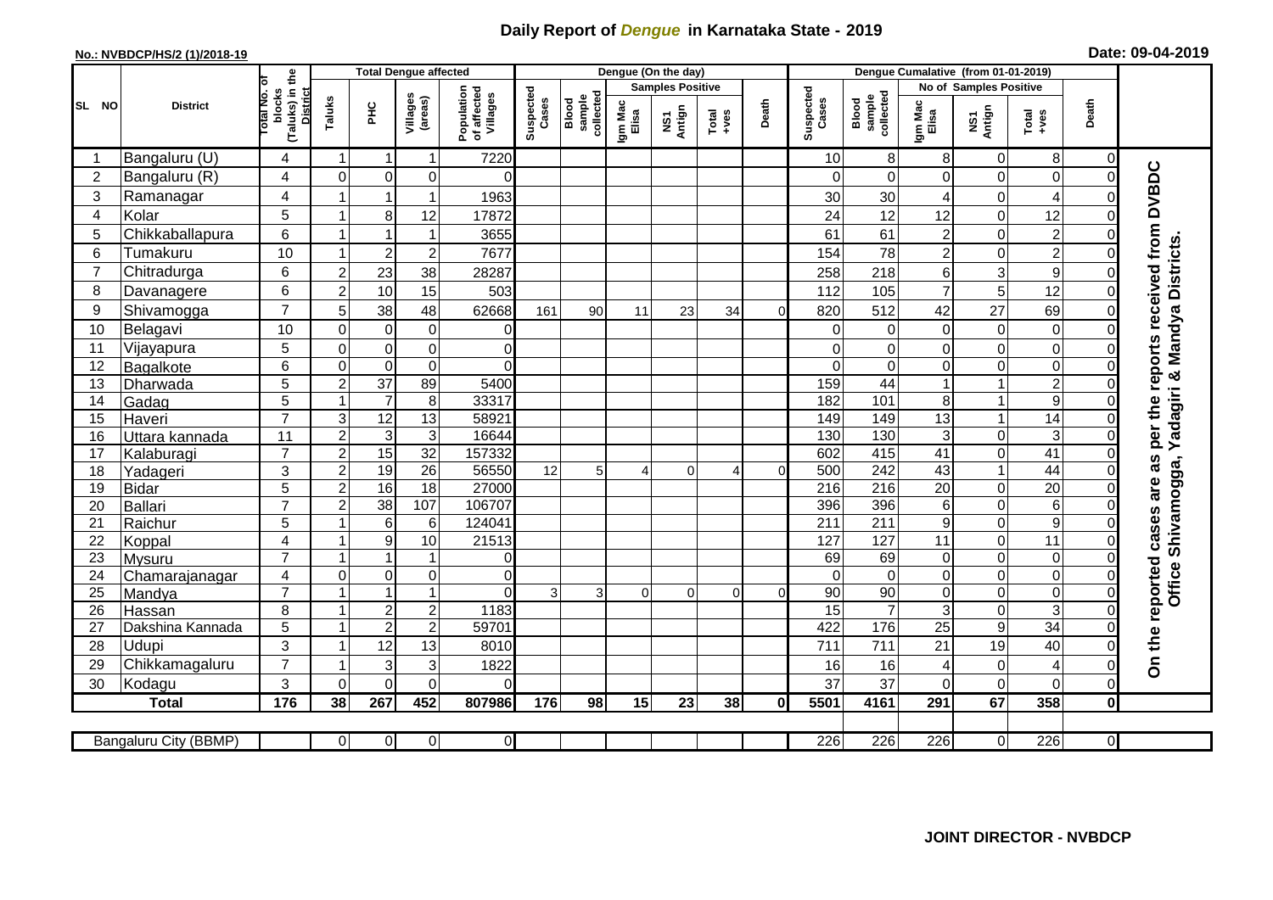## **Daily Report of** *Dengue* **in Karnataka State - 2019**

## **No.: NVBDCP/HS/2 (1)/2018-19 Date: 09-04-2019**

|                | <b>District</b>            |                                                   | <b>Total Dengue affected</b> |                                |                             |                                       | Dengue (On the day) |                              |                  |                         |                   |          |                    | Dengue Cumalative (from 01-01-2019) |                        |                            |                                                                      |                |                                     |  |
|----------------|----------------------------|---------------------------------------------------|------------------------------|--------------------------------|-----------------------------|---------------------------------------|---------------------|------------------------------|------------------|-------------------------|-------------------|----------|--------------------|-------------------------------------|------------------------|----------------------------|----------------------------------------------------------------------|----------------|-------------------------------------|--|
|                |                            |                                                   |                              |                                |                             |                                       |                     |                              |                  | <b>Samples Positive</b> |                   |          |                    |                                     | No of Samples Positive |                            |                                                                      |                |                                     |  |
| SL NO          |                            | (Taluks) in the<br>District<br>otal No.<br>blocks | Taluks                       | PHC                            | Villages<br>(areas)         | Population<br>of affected<br>Villages | Suspected<br>Cases  | Blood<br>sample<br>collected | Igm Mac<br>Elisa | NS1<br>Antign           | Total<br>$-1$ ves | Death    | Suspected<br>Cases | collected<br>sample<br>Blood        | Igm Mac<br>Elisa       | NS1<br>Antign              | $\begin{array}{c}\n\text{Total} \\ \text{1} & \text{1}\n\end{array}$ | Death          |                                     |  |
| -1             | Bangaluru (U)              | 4                                                 | $\mathbf{1}$                 | $\mathbf{1}$                   | $\mathbf{1}$                | 7220                                  |                     |                              |                  |                         |                   |          | 10                 | 8                                   | 8                      | 0                          | 8                                                                    | 0              |                                     |  |
| $\overline{2}$ | Bangaluru (R)              | $\overline{4}$                                    | $\mathbf 0$                  | $\pmb{0}$                      | 0                           | $\Omega$                              |                     |                              |                  |                         |                   |          | $\Omega$           | $\Omega$                            | 0                      | $\mathsf 0$                | $\mathbf 0$                                                          | $\Omega$       |                                     |  |
| 3              | Ramanagar                  | 4                                                 | 1                            | $\mathbf{1}$                   | 1                           | 1963                                  |                     |                              |                  |                         |                   |          | 30                 | 30                                  | 4                      | 0                          | 4                                                                    |                | per the reports received from DVBDC |  |
| 4              | Kolar                      | 5                                                 | 1                            | 8                              | 12                          | 17872                                 |                     |                              |                  |                         |                   |          | 24                 | 12                                  | 12                     | $\mathbf 0$                | 12                                                                   |                |                                     |  |
| 5              | Chikkaballapura            | 6                                                 | 1                            | $\mathbf{1}$                   | $\mathbf{1}$                | 3655                                  |                     |                              |                  |                         |                   |          | 61                 | 61                                  | $\overline{2}$         | $\mathbf 0$                | $\overline{c}$                                                       |                |                                     |  |
| 6              | Tumakuru                   | 10                                                | 1                            | $\overline{c}$                 | $\overline{c}$              | 7677                                  |                     |                              |                  |                         |                   |          | 154                | 78                                  | $\overline{c}$         | $\mathbf 0$                | $\overline{2}$                                                       | 0              |                                     |  |
| 7              | Chitradurga                | 6                                                 | $\overline{2}$               | 23                             | 38                          | 28287                                 |                     |                              |                  |                         |                   |          | 258                | 218                                 | 6                      | 3                          | $\mathsf g$                                                          | 0              |                                     |  |
| 8              | Davanagere                 | 6                                                 | $\overline{c}$               | 10                             | 15                          | 503                                   |                     |                              |                  |                         |                   |          | 112                | 105                                 | $\overline{7}$         | 5                          | 12                                                                   | $\Omega$       |                                     |  |
| 9              | Shivamogga                 | $\overline{7}$                                    | 5                            | 38                             | 48                          | 62668                                 | 161                 | 90                           | 11               | 23                      | 34                | $\Omega$ | 820                | 512                                 | 42                     | 27                         | 69                                                                   |                | & Mandya Districts                  |  |
| 10             | Belagavi                   | 10                                                | $\Omega$                     | $\pmb{0}$                      | 0                           | $\Omega$                              |                     |                              |                  |                         |                   |          | $\Omega$           | 0                                   | $\Omega$               | $\boldsymbol{0}$           | $\mathbf 0$                                                          |                |                                     |  |
| 11             | Vijayapura                 | 5                                                 | $\mathbf 0$                  | $\mathbf 0$                    | $\pmb{0}$                   | $\overline{O}$                        |                     |                              |                  |                         |                   |          | $\mathbf 0$        | 0                                   | $\Omega$               | $\mathbf 0$                | $\mathbf 0$                                                          |                |                                     |  |
| 12             | Bagalkote                  | 6                                                 | $\Omega$                     | $\overline{\mathsf{o}}$        | $\mathbf 0$                 | $\Omega$                              |                     |                              |                  |                         |                   |          | $\Omega$           | $\Omega$                            | $\Omega$               | $\overline{0}$             | $\overline{0}$                                                       |                |                                     |  |
| 13             | Dharwada                   | 5                                                 | $\overline{2}$               | $\overline{37}$                | 89                          | 5400                                  |                     |                              |                  |                         |                   |          | 159                | 44                                  |                        | $\mathbf{1}$               | $\overline{2}$                                                       |                |                                     |  |
| 14             | Gadag                      | 5                                                 | $\overline{1}$               | $\overline{7}$                 | $\,8\,$                     | 33317                                 |                     |                              |                  |                         |                   |          | 182                | 101                                 | 8                      | $\mathbf{1}$               | $\overline{9}$                                                       |                | adagiri                             |  |
| 15             | Haveri                     | $\overline{7}$                                    | 3                            | $\overline{12}$                | 13                          | 58921                                 |                     |                              |                  |                         |                   |          | 149                | 149                                 | 13                     | $\mathbf{1}$               | $\overline{14}$                                                      |                |                                     |  |
| 16             | Uttara kannada             | 11                                                | $\overline{2}$               | $\ensuremath{\mathsf{3}}$      | $\ensuremath{\mathsf{3}}$   | 16644                                 |                     |                              |                  |                         |                   |          | 130                | 130                                 | $\mathbf{3}$           | $\mathsf 0$                | 3                                                                    | $\Omega$       | ≻                                   |  |
| 17             | Kalaburagi                 | $\overline{7}$                                    | $\overline{2}$               | 15                             | 32                          | 157332                                |                     |                              |                  |                         |                   |          | 602                | 415                                 | 41                     | $\overline{0}$             | 41                                                                   |                |                                     |  |
| 18             | Yadageri                   | 3                                                 | $\overline{c}$               | $\overline{19}$                | 26                          | 56550                                 | 12                  | 5 <sup>5</sup>               | $\overline{4}$   | $\Omega$                | 4                 | $\Omega$ | 500                | 242                                 | 43                     | $\mathbf{1}$               | 44                                                                   |                |                                     |  |
| 19             | <b>Bidar</b>               | 5                                                 | $\overline{c}$               | 16                             | $\overline{18}$             | 27000                                 |                     |                              |                  |                         |                   |          | $\overline{216}$   | $\overline{216}$                    | $\overline{20}$        | $\mathbf 0$                | 20                                                                   |                |                                     |  |
| 20             | <b>Ballari</b>             | $\overline{7}$                                    | $\overline{c}$               | 38                             | 107                         | 106707                                |                     |                              |                  |                         |                   |          | 396                | 396                                 | 6                      | $\overline{0}$             | 6                                                                    |                |                                     |  |
| 21             | Raichur                    | 5                                                 | 1                            | $\,6$                          | 6                           | 124041                                |                     |                              |                  |                         |                   |          | $\overline{211}$   | $\overline{211}$                    | $\overline{9}$         | $\overline{0}$             | $\overline{9}$                                                       |                | Shivamogga,                         |  |
| 22             | Koppal                     | 4                                                 | 1                            | $\boldsymbol{9}$               | 10                          | 21513                                 |                     |                              |                  |                         |                   |          | 127                | 127                                 | 11                     | $\boldsymbol{0}$           | $\overline{11}$                                                      | $\Omega$       |                                     |  |
| 23             | Mysuru                     | $\overline{7}$                                    | $\mathbf{1}$                 | $\mathbf{1}$                   | $\mathbf{1}$                | $\overline{0}$                        |                     |                              |                  |                         |                   |          | 69                 | 69                                  | $\mathbf 0$            | $\boldsymbol{0}$           | $\pmb{0}$                                                            | $\Omega$       |                                     |  |
| 24             | Chamarajanagar             | 4<br>$\overline{7}$                               | $\Omega$<br>1                | $\overline{0}$<br>$\mathbf{1}$ | $\mathbf 0$<br>$\mathbf{1}$ | $\Omega$<br>$\Omega$                  |                     |                              |                  |                         |                   |          | $\Omega$           | $\overline{0}$<br>90                | 0                      | $\mathbf 0$                | $\overline{0}$<br>$\overline{0}$                                     | $\Omega$       | Office                              |  |
| 25<br>26       | Mandya                     | 8                                                 | 1                            | $\overline{c}$                 | $\overline{c}$              | 1183                                  | 3                   | 3                            | $\Omega$         | $\Omega$                | 0                 | $\Omega$ | 90<br>15           | $\overline{7}$                      | 0<br>3                 | $\mathsf 0$<br>$\mathbf 0$ | 3                                                                    | 0<br>$\Omega$  |                                     |  |
|                | Hassan<br>Dakshina Kannada | 5                                                 | $\mathbf 1$                  | $\overline{2}$                 | $\overline{2}$              | 59701                                 |                     |                              |                  |                         |                   |          | 422                | 176                                 | $\overline{25}$        | $\overline{9}$             | 34                                                                   | $\Omega$       |                                     |  |
| 27<br>28       | Udupi                      | 3                                                 | 1                            | 12                             | 13                          | 8010                                  |                     |                              |                  |                         |                   |          | 711                | 711                                 | 21                     | 19                         | 40                                                                   | $\Omega$       |                                     |  |
| 29             | Chikkamagaluru             | $\overline{7}$                                    | 1                            | $\mathsf 3$                    | 3                           | 1822                                  |                     |                              |                  |                         |                   |          | 16                 | 16                                  | 4                      | $\boldsymbol{0}$           | 4                                                                    | $\mathbf 0$    | On the reported cases are as        |  |
| 30             | Kodagu                     | 3                                                 | $\Omega$                     | $\mathbf 0$                    | $\Omega$                    | $\Omega$                              |                     |                              |                  |                         |                   |          | 37                 | 37                                  | $\Omega$               | $\mathbf 0$                | $\overline{0}$                                                       | 0              |                                     |  |
|                | <b>Total</b>               | 176                                               | 38                           | 267                            | 452                         | 807986                                | 176                 | 98                           | 15               | 23                      | 38                | 0        | 5501               | 4161                                | 291                    | 67                         | 358                                                                  | $\mathbf{0}$   |                                     |  |
|                |                            |                                                   |                              |                                |                             |                                       |                     |                              |                  |                         |                   |          |                    |                                     |                        |                            |                                                                      |                |                                     |  |
|                | Bangaluru City (BBMP)      |                                                   | $\Omega$                     | $\overline{0}$                 | $\mathbf 0$                 | $\overline{0}$                        |                     |                              |                  |                         |                   |          | $\overline{226}$   | $\overline{226}$                    | $\overline{226}$       | $\Omega$                   | 226                                                                  | $\overline{0}$ |                                     |  |